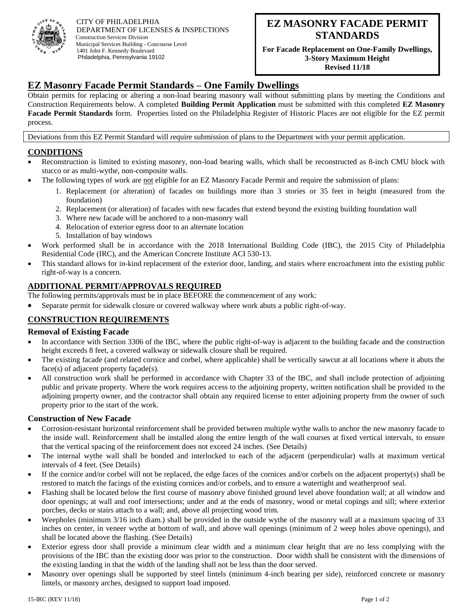

CITY OF PHILADELPHIA DEPARTMENT OF LICENSES & INSPECTIONS Construction Services Division Municipal Services Building - Concourse Level 1401 John F. Kennedy Boulevard Philadelphia, Pennsylvania 19102

**For Facade Replacement on One-Family Dwellings, 3-Story Maximum Height Revised 11/18**

**Revised 11/18**

## **EZ Masonry Facade Permit Standards – One Family Dwellings**

Obtain permits for replacing or altering a non-load bearing masonry wall without submitting plans by meeting the Conditions and Construction Requirements below. A completed **Building Permit Application** must be submitted with this completed **EZ Masonry Facade Permit Standards** form. Properties listed on the Philadelphia Register of Historic Places are not eligible for the EZ permit process.

Deviations from this EZ Permit Standard will require submission of plans to the Department with your permit application.

#### **CONDITIONS**

- Reconstruction is limited to existing masonry, non-load bearing walls, which shall be reconstructed as 8-inch CMU block with stucco or as multi-wythe, non-composite walls.
- The following types of work are not eligible for an EZ Masonry Facade Permit and require the submission of plans:
	- 1. Replacement (or alteration) of facades on buildings more than 3 stories or 35 feet in height (measured from the foundation)
	- 2. Replacement (or alteration) of facades with new facades that extend beyond the existing building foundation wall
	- 3. Where new facade will be anchored to a non-masonry wall
	- 4. Relocation of exterior egress door to an alternate location
	- 5. Installation of bay windows
- Work performed shall be in accordance with the 2018 International Building Code (IBC), the 2015 City of Philadelphia Residential Code (IRC), and the American Concrete Institute ACI 530-13.
- This standard allows for in-kind replacement of the exterior door, landing, and stairs where encroachment into the existing public right-of-way is a concern.

### **ADDITIONAL PERMIT/APPROVALS REQUIRED**

The following permits/approvals must be in place BEFORE the commencement of any work:

• Separate permit for sidewalk closure or covered walkway where work abuts a public right-of-way.

## **CONSTRUCTION REQUIREMENTS**

#### **Removal of Existing Facade**

- In accordance with Section 3306 of the IBC, where the public right-of-way is adjacent to the building facade and the construction height exceeds 8 feet, a covered walkway or sidewalk closure shall be required.
- The existing facade (and related cornice and corbel, where applicable) shall be vertically sawcut at all locations where it abuts the face(s) of adjacent property façade(s).
- All construction work shall be performed in accordance with Chapter 33 of the IBC, and shall include protection of adjoining public and private property. Where the work requires access to the adjoining property, written notification shall be provided to the adjoining property owner, and the contractor shall obtain any required license to enter adjoining property from the owner of such property prior to the start of the work.

#### **Construction of New Facade**

- Corrosion-resistant horizontal reinforcement shall be provided between multiple wythe walls to anchor the new masonry facade to the inside wall. Reinforcement shall be installed along the entire length of the wall courses at fixed vertical intervals, to ensure that the vertical spacing of the reinforcement does not exceed 24 inches. (See Details)
- The internal wythe wall shall be bonded and interlocked to each of the adjacent (perpendicular) walls at maximum vertical intervals of 4 feet. (See Details)
- If the cornice and/or corbel will not be replaced, the edge faces of the cornices and/or corbels on the adjacent property(s) shall be restored to match the facings of the existing cornices and/or corbels, and to ensure a watertight and weatherproof seal.
- Flashing shall be located below the first course of masonry above finished ground level above foundation wall; at all window and door openings; at wall and roof intersections; under and at the ends of masonry, wood or metal copings and sill; where exterior porches, decks or stairs attach to a wall; and, above all projecting wood trim.
- Weepholes (minimum 3/16 inch diam.) shall be provided in the outside wythe of the masonry wall at a maximum spacing of 33 inches on center, in veneer wythe at bottom of wall, and above wall openings (minimum of 2 weep holes above openings), and shall be located above the flashing. (See Details)
- Exterior egress door shall provide a minimum clear width and a minimum clear height that are no less complying with the provisions of the IBC than the existing door was prior to the construction. Door width shall be consistent with the dimensions of the existing landing in that the width of the landing shall not be less than the door served.
- Masonry over openings shall be supported by steel lintels (minimum 4-inch bearing per side), reinforced concrete or masonry lintels, or masonry arches, designed to support load imposed.